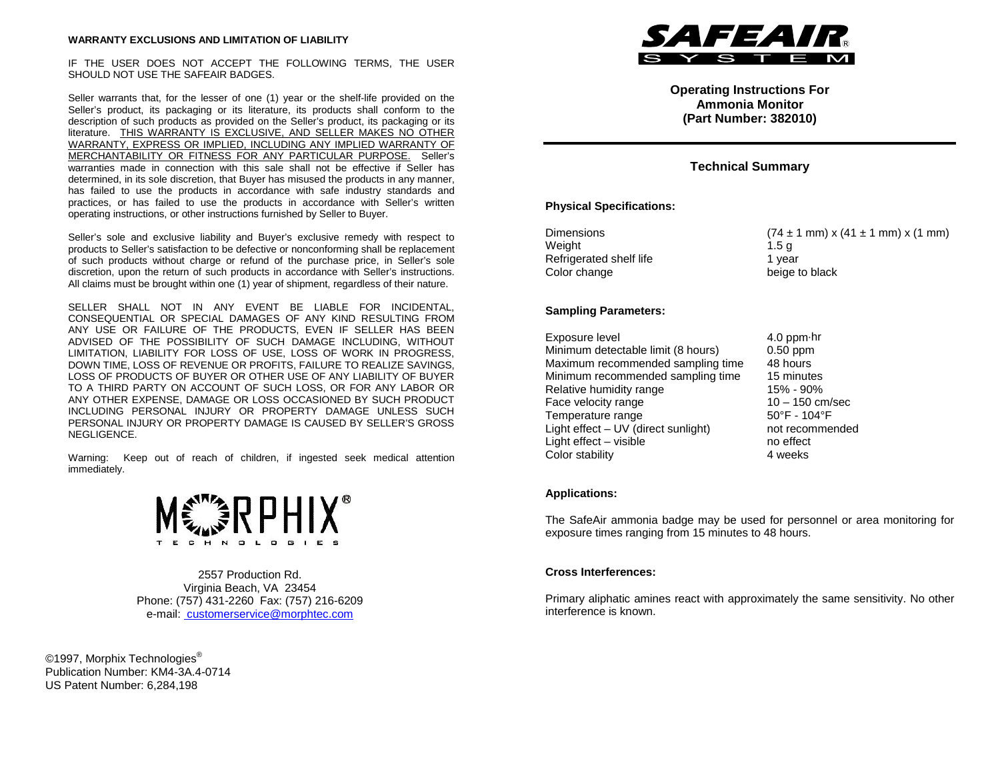#### **WARRANTY EXCLUSIONS AND LIMITATION OF LIABILITY**

IF THE USER DOES NOT ACCEPT THE FOLLOWING TERMS, THE USER SHOULD NOT USE THE SAFEAIR BADGES.

Seller warrants that, for the lesser of one (1) year or the shelf-life provided on the Seller's product, its packaging or its literature, its products shall conform to the description of such products as provided on the Seller's product, its packaging or its literature. THIS WARRANTY IS EXCLUSIVE, AND SELLER MAKES NO OTHER WARRANTY, EXPRESS OR IMPLIED, INCLUDING ANY IMPLIED WARRANTY OF MERCHANTABILITY OR FITNESS FOR ANY PARTICULAR PURPOSE. Seller's warranties made in connection with this sale shall not be effective if Seller has determined, in its sole discretion, that Buyer has misused the products in any manner, has failed to use the products in accordance with safe industry standards and practices, or has failed to use the products in accordance with Seller's written operating instructions, or other instructions furnished by Seller to Buyer.

Seller's sole and exclusive liability and Buyer's exclusive remedy with respect to products to Seller's satisfaction to be defective or nonconforming shall be replacement of such products without charge or refund of the purchase price, in Seller's sole discretion, upon the return of such products in accordance with Seller's instructions. All claims must be brought within one (1) year of shipment, regardless of their nature.

SELLER SHALL NOT IN ANY EVENT BE LIABLE FOR INCIDENTAL, CONSEQUENTIAL OR SPECIAL DAMAGES OF ANY KIND RESULTING FROM ANY USE OR FAILURE OF THE PRODUCTS, EVEN IF SELLER HAS BEEN ADVISED OF THE POSSIBILITY OF SUCH DAMAGE INCLUDING, WITHOUT LIMITATION, LIABILITY FOR LOSS OF USE, LOSS OF WORK IN PROGRESS, DOWN TIME, LOSS OF REVENUE OR PROFITS, FAILURE TO REALIZE SAVINGS, LOSS OF PRODUCTS OF BUYER OR OTHER USE OF ANY LIABILITY OF BUYER TO A THIRD PARTY ON ACCOUNT OF SUCH LOSS, OR FOR ANY LABOR OR ANY OTHER EXPENSE, DAMAGE OR LOSS OCCASIONED BY SUCH PRODUCT INCLUDING PERSONAL INJURY OR PROPERTY DAMAGE UNLESS SUCH PERSONAL INJURY OR PROPERTY DAMAGE IS CAUSED BY SELLER'S GROSS NEGLIGENCE.

Warning: Keep out of reach of children, if ingested seek medical attention immediately.



2557 Production Rd. Virginia Beach, VA 23454 Phone: (757) 431-2260 Fax: (757) 216-6209 e-mail: customerservice@morphtec.com

©1997, Morphix Technologies<sup>®</sup> Publication Number: KM4-3A.4-0714 US Patent Number: 6,284,198



**Operating Instructions For Ammonia Monitor (Part Number: 382010)**

# **Technical Summary**

## **Physical Specifications:**

| <b>Dimensions</b>       | $(74 \pm 1 \text{ mm}) \times (41 \pm 1 \text{ mm}) \times (1 \text{ mm})$ |
|-------------------------|----------------------------------------------------------------------------|
| Weight                  | 1.5 a                                                                      |
| Refrigerated shelf life | 1 vear                                                                     |
| Color change            | beige to black                                                             |

## **Sampling Parameters:**

Exposure level 4.0 ppm⋅hr<br>Minimum detectable limit (8 hours) 6.50 ppm Minimum detectable limit (8 hours) **0.50 ppm**<br>Maximum recommended sampling time 48 hours Maximum recommended sampling time Minimum recommended sampling time 15 minutes Relative humidity range 15% - 90% Face velocity range  $10 - 150$  cm/sec<br>Temperature range  $50^{\circ}$ F - 104°F Temperature range Light effect – UV (direct sunlight) not recommended Light effect – visible no effect Color stability 4 weeks

### **Applications:**

The SafeAir ammonia badge may be used for personnel or area monitoring for exposure times ranging from 15 minutes to 48 hours.

### **Cross Interferences:**

Primary aliphatic amines react with approximately the same sensitivity. No other interference is known.